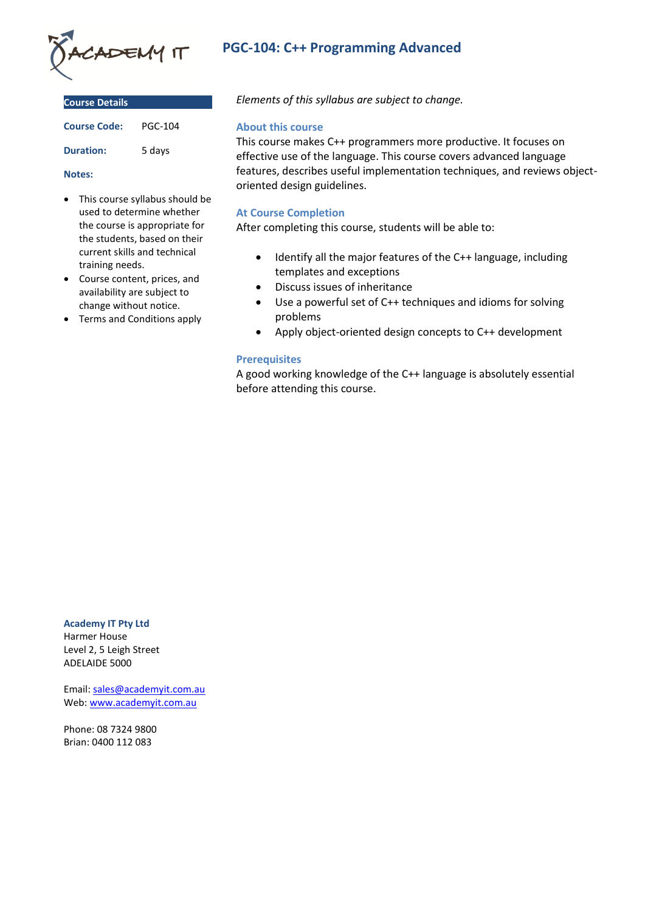

| <b>Course Details</b> |                |
|-----------------------|----------------|
| <b>Course Code:</b>   | <b>PGC-104</b> |

**Duration:** 5 days

### **Notes:**

- This course syllabus should be used to determine whether the course is appropriate for the students, based on their current skills and technical training needs.
- Course content, prices, and availability are subject to change without notice.
- Terms and Conditions apply

# **PGC-104: C++ Programming Advanced**

*Elements of this syllabus are subject to change.*

## **About this course**

This course makes C++ programmers more productive. It focuses on effective use of the language. This course covers advanced language features, describes useful implementation techniques, and reviews objectoriented design guidelines.

# **At Course Completion**

After completing this course, students will be able to:

- Identify all the major features of the C++ language, including templates and exceptions
- Discuss issues of inheritance
- Use a powerful set of C++ techniques and idioms for solving problems
- Apply object-oriented design concepts to C++ development

# **Prerequisites**

A good working knowledge of the C++ language is absolutely essential before attending this course.

#### **Academy IT Pty Ltd**

Harmer House Level 2, 5 Leigh Street ADELAIDE 5000

Email: [sales@academyit.com.au](mailto:sales@academyit.com.au) Web: [www.academyit.com.au](http://www.academyit.com.au/)

Phone: 08 7324 9800 Brian: 0400 112 083